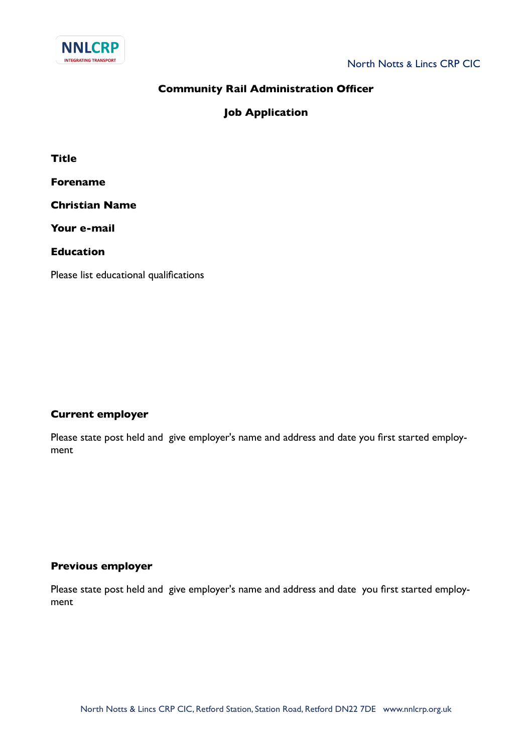

## **Community Rail Administration Officer**

**Job Application**

**Title**

**Forename**

**Christian Name**

**Your e-mail**

**Education**

Please list educational qualifications

## **Current employer**

Please state post held and give employer's name and address and date you first started employment

## **Previous employer**

Please state post held and give employer's name and address and date you first started employment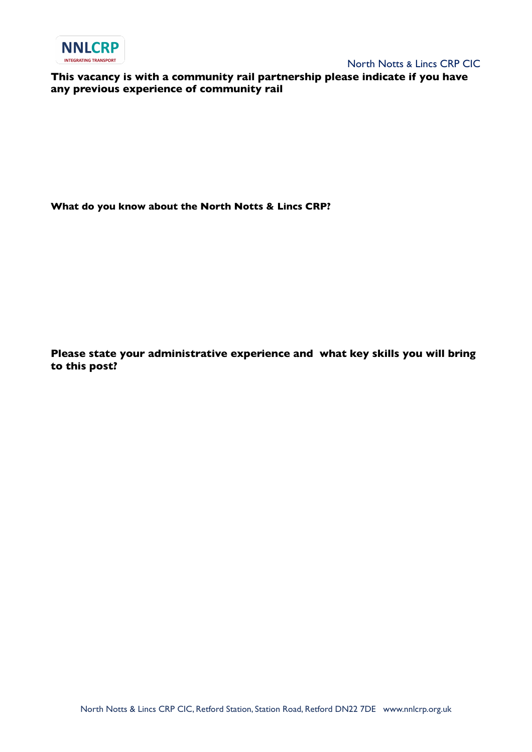

North Notts & Lincs CRP CIC

**This vacancy is with a community rail partnership please indicate if you have any previous experience of community rail**

**What do you know about the North Notts & Lincs CRP?**

**Please state your administrative experience and what key skills you will bring to this post?**